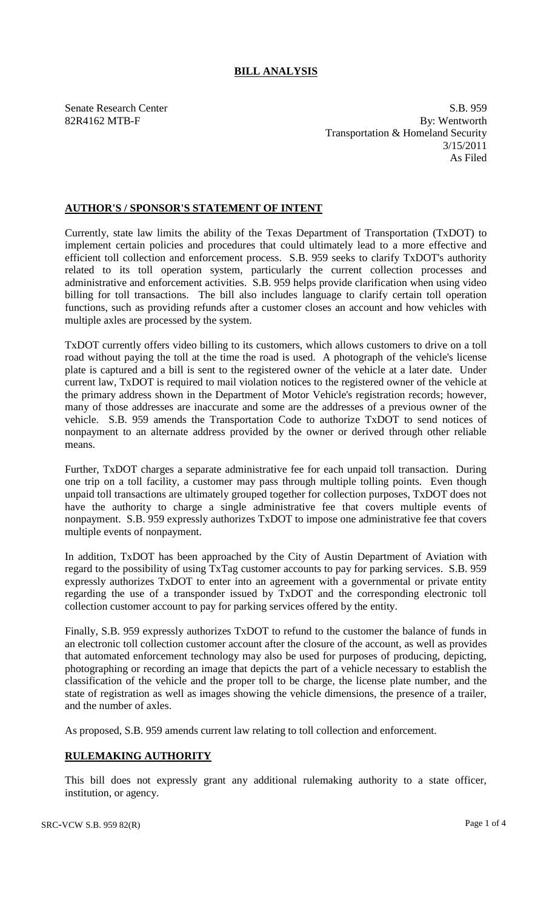## **BILL ANALYSIS**

Senate Research Center S.B. 959 82R4162 MTB-F By: Wentworth Transportation & Homeland Security 3/15/2011 As Filed

## **AUTHOR'S / SPONSOR'S STATEMENT OF INTENT**

Currently, state law limits the ability of the Texas Department of Transportation (TxDOT) to implement certain policies and procedures that could ultimately lead to a more effective and efficient toll collection and enforcement process. S.B. 959 seeks to clarify TxDOT's authority related to its toll operation system, particularly the current collection processes and administrative and enforcement activities. S.B. 959 helps provide clarification when using video billing for toll transactions. The bill also includes language to clarify certain toll operation functions, such as providing refunds after a customer closes an account and how vehicles with multiple axles are processed by the system.

TxDOT currently offers video billing to its customers, which allows customers to drive on a toll road without paying the toll at the time the road is used. A photograph of the vehicle's license plate is captured and a bill is sent to the registered owner of the vehicle at a later date. Under current law, TxDOT is required to mail violation notices to the registered owner of the vehicle at the primary address shown in the Department of Motor Vehicle's registration records; however, many of those addresses are inaccurate and some are the addresses of a previous owner of the vehicle. S.B. 959 amends the Transportation Code to authorize TxDOT to send notices of nonpayment to an alternate address provided by the owner or derived through other reliable means.

Further, TxDOT charges a separate administrative fee for each unpaid toll transaction. During one trip on a toll facility, a customer may pass through multiple tolling points. Even though unpaid toll transactions are ultimately grouped together for collection purposes, TxDOT does not have the authority to charge a single administrative fee that covers multiple events of nonpayment. S.B. 959 expressly authorizes TxDOT to impose one administrative fee that covers multiple events of nonpayment.

In addition, TxDOT has been approached by the City of Austin Department of Aviation with regard to the possibility of using TxTag customer accounts to pay for parking services. S.B. 959 expressly authorizes TxDOT to enter into an agreement with a governmental or private entity regarding the use of a transponder issued by TxDOT and the corresponding electronic toll collection customer account to pay for parking services offered by the entity.

Finally, S.B. 959 expressly authorizes TxDOT to refund to the customer the balance of funds in an electronic toll collection customer account after the closure of the account, as well as provides that automated enforcement technology may also be used for purposes of producing, depicting, photographing or recording an image that depicts the part of a vehicle necessary to establish the classification of the vehicle and the proper toll to be charge, the license plate number, and the state of registration as well as images showing the vehicle dimensions, the presence of a trailer, and the number of axles.

As proposed, S.B. 959 amends current law relating to toll collection and enforcement.

## **RULEMAKING AUTHORITY**

This bill does not expressly grant any additional rulemaking authority to a state officer, institution, or agency.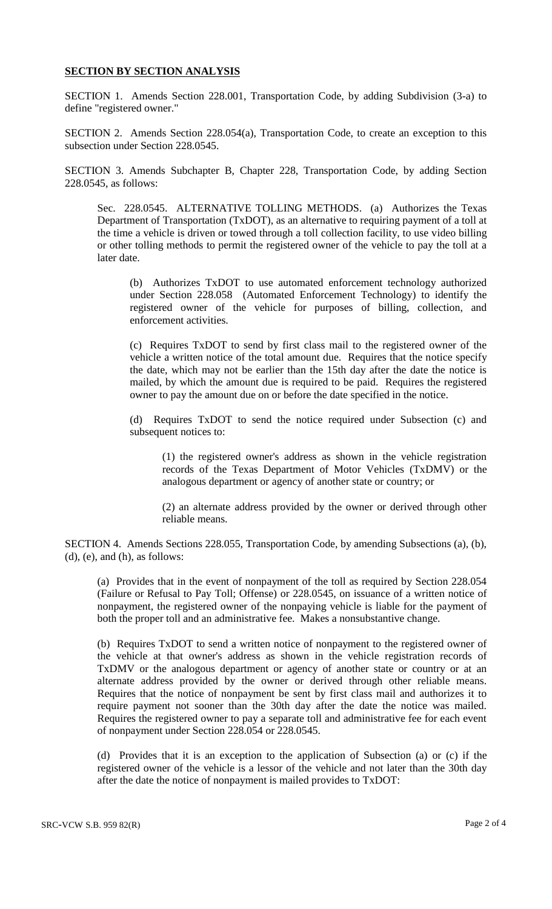## **SECTION BY SECTION ANALYSIS**

SECTION 1. Amends Section 228.001, Transportation Code, by adding Subdivision (3-a) to define "registered owner."

SECTION 2. Amends Section 228.054(a), Transportation Code, to create an exception to this subsection under Section 228.0545.

SECTION 3. Amends Subchapter B, Chapter 228, Transportation Code, by adding Section 228.0545, as follows:

Sec. 228.0545. ALTERNATIVE TOLLING METHODS. (a) Authorizes the Texas Department of Transportation (TxDOT), as an alternative to requiring payment of a toll at the time a vehicle is driven or towed through a toll collection facility, to use video billing or other tolling methods to permit the registered owner of the vehicle to pay the toll at a later date.

(b) Authorizes TxDOT to use automated enforcement technology authorized under Section 228.058 (Automated Enforcement Technology) to identify the registered owner of the vehicle for purposes of billing, collection, and enforcement activities.

(c) Requires TxDOT to send by first class mail to the registered owner of the vehicle a written notice of the total amount due. Requires that the notice specify the date, which may not be earlier than the 15th day after the date the notice is mailed, by which the amount due is required to be paid. Requires the registered owner to pay the amount due on or before the date specified in the notice.

(d) Requires TxDOT to send the notice required under Subsection (c) and subsequent notices to:

(1) the registered owner's address as shown in the vehicle registration records of the Texas Department of Motor Vehicles (TxDMV) or the analogous department or agency of another state or country; or

(2) an alternate address provided by the owner or derived through other reliable means.

SECTION 4. Amends Sections 228.055, Transportation Code, by amending Subsections (a), (b), (d), (e), and (h), as follows:

(a) Provides that in the event of nonpayment of the toll as required by Section 228.054 (Failure or Refusal to Pay Toll; Offense) or 228.0545, on issuance of a written notice of nonpayment, the registered owner of the nonpaying vehicle is liable for the payment of both the proper toll and an administrative fee. Makes a nonsubstantive change.

(b) Requires TxDOT to send a written notice of nonpayment to the registered owner of the vehicle at that owner's address as shown in the vehicle registration records of TxDMV or the analogous department or agency of another state or country or at an alternate address provided by the owner or derived through other reliable means. Requires that the notice of nonpayment be sent by first class mail and authorizes it to require payment not sooner than the 30th day after the date the notice was mailed. Requires the registered owner to pay a separate toll and administrative fee for each event of nonpayment under Section 228.054 or 228.0545.

(d) Provides that it is an exception to the application of Subsection (a) or (c) if the registered owner of the vehicle is a lessor of the vehicle and not later than the 30th day after the date the notice of nonpayment is mailed provides to TxDOT: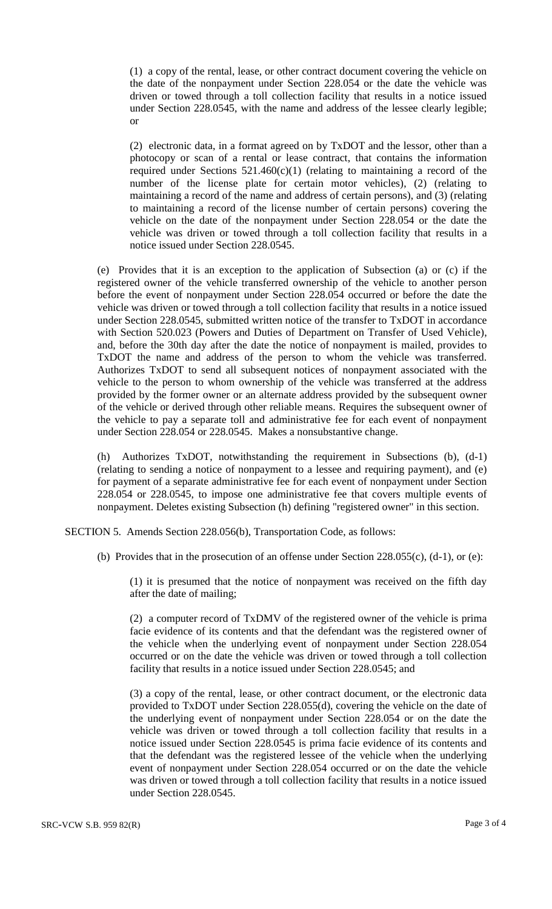(1) a copy of the rental, lease, or other contract document covering the vehicle on the date of the nonpayment under Section 228.054 or the date the vehicle was driven or towed through a toll collection facility that results in a notice issued under Section 228.0545, with the name and address of the lessee clearly legible; or

(2) electronic data, in a format agreed on by TxDOT and the lessor, other than a photocopy or scan of a rental or lease contract, that contains the information required under Sections  $521.460(c)(1)$  (relating to maintaining a record of the number of the license plate for certain motor vehicles), (2) (relating to maintaining a record of the name and address of certain persons), and (3) (relating to maintaining a record of the license number of certain persons) covering the vehicle on the date of the nonpayment under Section 228.054 or the date the vehicle was driven or towed through a toll collection facility that results in a notice issued under Section 228.0545.

(e) Provides that it is an exception to the application of Subsection (a) or (c) if the registered owner of the vehicle transferred ownership of the vehicle to another person before the event of nonpayment under Section 228.054 occurred or before the date the vehicle was driven or towed through a toll collection facility that results in a notice issued under Section 228.0545, submitted written notice of the transfer to TxDOT in accordance with Section 520.023 (Powers and Duties of Department on Transfer of Used Vehicle), and, before the 30th day after the date the notice of nonpayment is mailed, provides to TxDOT the name and address of the person to whom the vehicle was transferred. Authorizes TxDOT to send all subsequent notices of nonpayment associated with the vehicle to the person to whom ownership of the vehicle was transferred at the address provided by the former owner or an alternate address provided by the subsequent owner of the vehicle or derived through other reliable means. Requires the subsequent owner of the vehicle to pay a separate toll and administrative fee for each event of nonpayment under Section 228.054 or 228.0545. Makes a nonsubstantive change.

(h) Authorizes TxDOT, notwithstanding the requirement in Subsections (b), (d-1) (relating to sending a notice of nonpayment to a lessee and requiring payment), and (e) for payment of a separate administrative fee for each event of nonpayment under Section 228.054 or 228.0545, to impose one administrative fee that covers multiple events of nonpayment. Deletes existing Subsection (h) defining "registered owner" in this section.

SECTION 5. Amends Section 228.056(b), Transportation Code, as follows:

(b) Provides that in the prosecution of an offense under Section 228.055(c), (d-1), or (e):

(1) it is presumed that the notice of nonpayment was received on the fifth day after the date of mailing;

(2) a computer record of TxDMV of the registered owner of the vehicle is prima facie evidence of its contents and that the defendant was the registered owner of the vehicle when the underlying event of nonpayment under Section 228.054 occurred or on the date the vehicle was driven or towed through a toll collection facility that results in a notice issued under Section 228.0545; and

(3) a copy of the rental, lease, or other contract document, or the electronic data provided to TxDOT under Section 228.055(d), covering the vehicle on the date of the underlying event of nonpayment under Section 228.054 or on the date the vehicle was driven or towed through a toll collection facility that results in a notice issued under Section 228.0545 is prima facie evidence of its contents and that the defendant was the registered lessee of the vehicle when the underlying event of nonpayment under Section 228.054 occurred or on the date the vehicle was driven or towed through a toll collection facility that results in a notice issued under Section 228.0545.